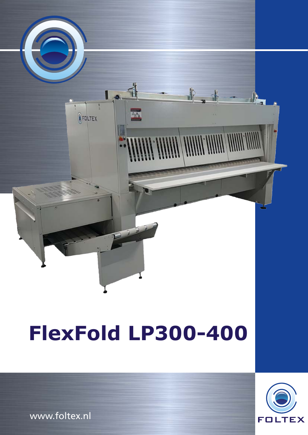

## **FlexFold LP300-400**



www.foltex.nl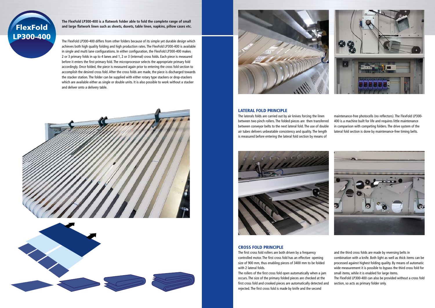The FlexFold LP300-400 differs from other folders because of its simple yet durable design which achieves both high quality folding and high production rates. The FlexFold LP300-400 is available in single and multi lane configurations. In either configuration, the FlexFold LP300-400 makes 2 or 3 primary folds in up to 4 lanes and 1, 2 or 3 (internal) cross folds. Each piece is measured before it enters the first primary fold. The microprocessor selects the appropriate primary fold accordingly. Once folded, the piece is measured again prior to entering the cross fold section to accomplish the desired cross fold. After the cross folds are made, the piece is discharged towards the stacker station. The folder can be supplied with either rotary type stackers or drop-stackers which are available either as single or double units. It is also possible to work without a stacker and deliver onto a delivery table.









**The FlexFold LP300-400 is a flatwork folder able to fold the complete range of small and large flatwork linen such as sheets, duvets, table linen, napkins, pillow cases etc.** 

## LATERAL FOLD PRINCIPLE

The laterals folds are carried out by air knives forcing the linen between two pinch rollers. The folded pieces are then transferred between conveyor belts to the next lateral fold. The use of double air tubes delivers unbeatable consistency and quality. The length is measured before entering the lateral fold section by means of



maintenance-free photocells (no reflectors). The FlexFold LP300- 400 is a machine built for life and requires little maintenance in comparison with competing folders. The drive system of the lateral fold section is done by maintenance-free timing belts.



## CROSS FOLD PRINCIPLE

The first cross fold rollers are both driven by a frequency controlled motor. The first cross fold has an effective opening size of 900 mm, thus enabling pieces of 3400 mm to be folded with 2 lateral folds.

The rollers of the first cross fold open automatically when a jam occurs. The size of the primary folded pieces are checked at the first cross fold and crooked pieces are automatically detected and rejected. The first cross fold is made by knife and the second



and the third cross folds are made by reversing belts in

combination with a knife. Both light as well as thick items can be processed against highest folding quality. By means of automatic wide measurement it is possible to bypass the third cross fold for small items, while it is enabled for large items.

The FlexFold LP300-400 can also be provided without a cross fold section, so acts as primary folder only.